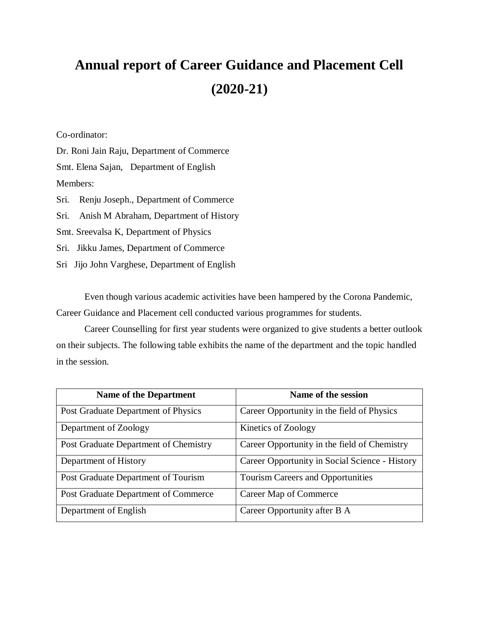## **Annual report of Career Guidance and Placement Cell (2020-21)**

Co-ordinator:

Dr. Roni Jain Raju, Department of Commerce Smt. Elena Sajan, Department of English Members: Sri. Renju Joseph., Department of Commerce

Sri. Anish M Abraham, Department of History

Smt. Sreevalsa K, Department of Physics

Sri. Jikku James, Department of Commerce

Sri Jijo John Varghese, Department of English

Even though various academic activities have been hampered by the Corona Pandemic, Career Guidance and Placement cell conducted various programmes for students.

Career Counselling for first year students were organized to give students a better outlook on their subjects. The following table exhibits the name of the department and the topic handled in the session.

| <b>Name of the Department</b>         | Name of the session                            |
|---------------------------------------|------------------------------------------------|
| Post Graduate Department of Physics   | Career Opportunity in the field of Physics     |
| Department of Zoology                 | Kinetics of Zoology                            |
| Post Graduate Department of Chemistry | Career Opportunity in the field of Chemistry   |
| Department of History                 | Career Opportunity in Social Science - History |
| Post Graduate Department of Tourism   | <b>Tourism Careers and Opportunities</b>       |
| Post Graduate Department of Commerce  | Career Map of Commerce                         |
| Department of English                 | Career Opportunity after B A                   |